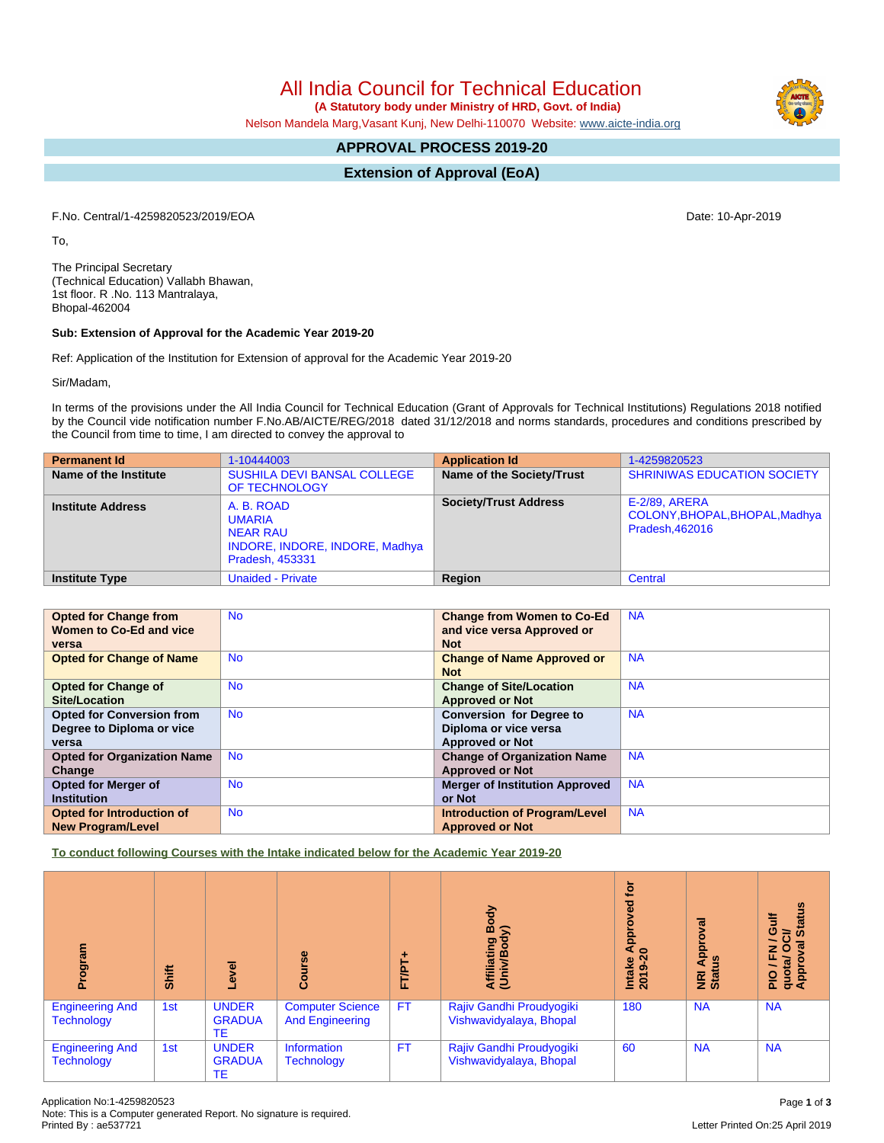# All India Council for Technical Education

 **(A Statutory body under Ministry of HRD, Govt. of India)**

Nelson Mandela Marg,Vasant Kunj, New Delhi-110070 Website: [www.aicte-india.org](http://www.aicte-india.org)

## **APPROVAL PROCESS 2019-20**

**Extension of Approval (EoA)**

F.No. Central/1-4259820523/2019/EOA Date: 10-Apr-2019

To,

The Principal Secretary (Technical Education) Vallabh Bhawan, 1st floor. R .No. 113 Mantralaya, Bhopal-462004

### **Sub: Extension of Approval for the Academic Year 2019-20**

Ref: Application of the Institution for Extension of approval for the Academic Year 2019-20

Sir/Madam,

In terms of the provisions under the All India Council for Technical Education (Grant of Approvals for Technical Institutions) Regulations 2018 notified by the Council vide notification number F.No.AB/AICTE/REG/2018 dated 31/12/2018 and norms standards, procedures and conditions prescribed by the Council from time to time, I am directed to convey the approval to

| <b>Permanent Id</b>      | 1-10444003                                                                                                 | <b>Application Id</b>        | 1-4259820523                                                             |
|--------------------------|------------------------------------------------------------------------------------------------------------|------------------------------|--------------------------------------------------------------------------|
| Name of the Institute    | SUSHILA DEVI BANSAL COLLEGE<br>OF TECHNOLOGY                                                               | Name of the Society/Trust    | <b>SHRINIWAS EDUCATION SOCIETY</b>                                       |
| <b>Institute Address</b> | A. B. ROAD<br><b>UMARIA</b><br><b>NEAR RAU</b><br>INDORE, INDORE, INDORE, Madhya<br><b>Pradesh, 453331</b> | <b>Society/Trust Address</b> | <b>E-2/89, ARERA</b><br>COLONY, BHOPAL, BHOPAL, Madhya<br>Pradesh.462016 |
| <b>Institute Type</b>    | <b>Unaided - Private</b>                                                                                   | <b>Region</b>                | Central                                                                  |

| <b>Opted for Change from</b>       | <b>No</b> | <b>Change from Women to Co-Ed</b>     | <b>NA</b> |
|------------------------------------|-----------|---------------------------------------|-----------|
| Women to Co-Ed and vice            |           | and vice versa Approved or            |           |
| versa                              |           | <b>Not</b>                            |           |
| <b>Opted for Change of Name</b>    | <b>No</b> | <b>Change of Name Approved or</b>     | <b>NA</b> |
|                                    |           | <b>Not</b>                            |           |
| <b>Opted for Change of</b>         | <b>No</b> | <b>Change of Site/Location</b>        | <b>NA</b> |
| <b>Site/Location</b>               |           | <b>Approved or Not</b>                |           |
| <b>Opted for Conversion from</b>   | <b>No</b> | <b>Conversion for Degree to</b>       | <b>NA</b> |
| Degree to Diploma or vice          |           | Diploma or vice versa                 |           |
| versa                              |           | <b>Approved or Not</b>                |           |
| <b>Opted for Organization Name</b> | <b>No</b> | <b>Change of Organization Name</b>    | <b>NA</b> |
| Change                             |           | <b>Approved or Not</b>                |           |
| <b>Opted for Merger of</b>         | <b>No</b> | <b>Merger of Institution Approved</b> | <b>NA</b> |
| <b>Institution</b>                 |           | or Not                                |           |
| <b>Opted for Introduction of</b>   | <b>No</b> | <b>Introduction of Program/Level</b>  | <b>NA</b> |
| <b>New Program/Level</b>           |           | <b>Approved or Not</b>                |           |

**To conduct following Courses with the Intake indicated below for the Academic Year 2019-20**

| ram<br>ទី១                                  | Shift | Level                                      | Course                                            | FT/PT     | Body<br>⋦<br>Affiliating<br>(Univ/Body              | ë<br>Ъe<br>۰<br>Appr<br>Intake<br>2019-20 | roval<br>Appr<br>3<br><b>E</b> ä | <b>Status</b><br>₹<br>ō<br>ಕ<br>ζā<br>J / FN<br>quota/ O<br>Approval |
|---------------------------------------------|-------|--------------------------------------------|---------------------------------------------------|-----------|-----------------------------------------------------|-------------------------------------------|----------------------------------|----------------------------------------------------------------------|
| <b>Engineering And</b><br><b>Technology</b> | 1st   | <b>UNDER</b><br><b>GRADUA</b><br><b>TE</b> | <b>Computer Science</b><br><b>And Engineering</b> | <b>FT</b> | Rajiv Gandhi Proudyogiki<br>Vishwavidyalaya, Bhopal | 180                                       | <b>NA</b>                        | <b>NA</b>                                                            |
| <b>Engineering And</b><br><b>Technology</b> | 1st   | <b>UNDER</b><br><b>GRADUA</b><br><b>TE</b> | Information<br><b>Technology</b>                  | <b>FT</b> | Rajiv Gandhi Proudyogiki<br>Vishwavidyalaya, Bhopal | 60                                        | <b>NA</b>                        | <b>NA</b>                                                            |

Letter Printed On:25 April 2019

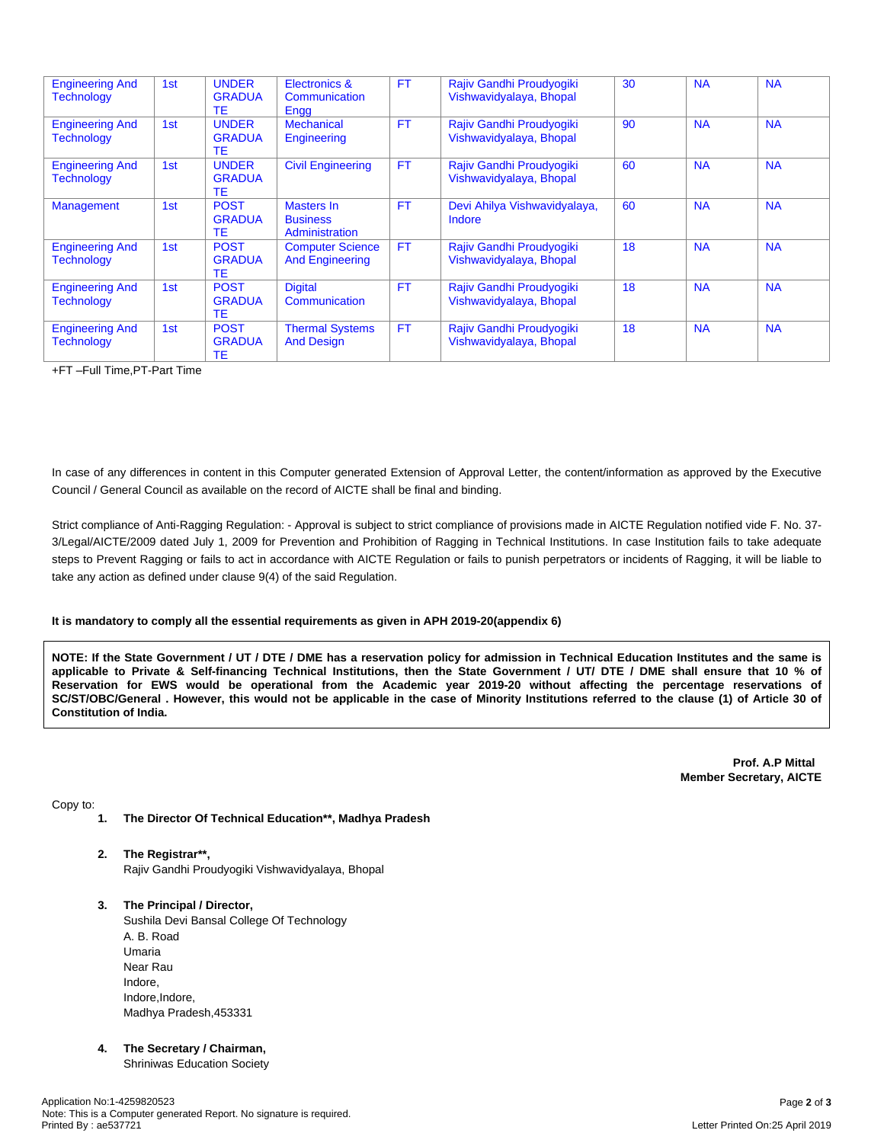| <b>Engineering And</b><br><b>Technology</b> | 1st             | <b>UNDER</b><br><b>GRADUA</b><br>ТE        | Electronics &<br>Communication<br>Engg            | <b>FT</b> | Rajiv Gandhi Proudyogiki<br>Vishwavidyalaya, Bhopal | 30 | <b>NA</b> | <b>NA</b> |
|---------------------------------------------|-----------------|--------------------------------------------|---------------------------------------------------|-----------|-----------------------------------------------------|----|-----------|-----------|
| <b>Engineering And</b><br><b>Technology</b> | 1 <sub>st</sub> | <b>UNDER</b><br><b>GRADUA</b><br><b>TE</b> | <b>Mechanical</b><br>Engineering                  | <b>FT</b> | Rajiv Gandhi Proudyogiki<br>Vishwavidyalaya, Bhopal | 90 | <b>NA</b> | <b>NA</b> |
| <b>Engineering And</b><br><b>Technology</b> | 1 <sub>st</sub> | <b>UNDER</b><br><b>GRADUA</b><br><b>TE</b> | <b>Civil Engineering</b>                          | <b>FT</b> | Rajiv Gandhi Proudyogiki<br>Vishwavidyalaya, Bhopal | 60 | <b>NA</b> | <b>NA</b> |
| <b>Management</b>                           | 1st             | <b>POST</b><br><b>GRADUA</b><br>ТE         | Masters In<br><b>Business</b><br>Administration   | <b>FT</b> | Devi Ahilya Vishwavidyalaya,<br>Indore              | 60 | <b>NA</b> | <b>NA</b> |
| <b>Engineering And</b><br><b>Technology</b> | 1st             | <b>POST</b><br><b>GRADUA</b><br><b>TE</b>  | <b>Computer Science</b><br><b>And Engineering</b> | <b>FT</b> | Rajiv Gandhi Proudyogiki<br>Vishwavidyalaya, Bhopal | 18 | <b>NA</b> | <b>NA</b> |
| <b>Engineering And</b><br><b>Technology</b> | 1st             | <b>POST</b><br><b>GRADUA</b><br><b>TE</b>  | <b>Digital</b><br>Communication                   | <b>FT</b> | Rajiv Gandhi Proudyogiki<br>Vishwavidyalaya, Bhopal | 18 | <b>NA</b> | <b>NA</b> |
| <b>Engineering And</b><br><b>Technology</b> | 1st             | <b>POST</b><br><b>GRADUA</b><br>ТE         | <b>Thermal Systems</b><br><b>And Design</b>       | <b>FT</b> | Rajiv Gandhi Proudyogiki<br>Vishwavidyalaya, Bhopal | 18 | <b>NA</b> | <b>NA</b> |

+FT –Full Time,PT-Part Time

In case of any differences in content in this Computer generated Extension of Approval Letter, the content/information as approved by the Executive Council / General Council as available on the record of AICTE shall be final and binding.

Strict compliance of Anti-Ragging Regulation: - Approval is subject to strict compliance of provisions made in AICTE Regulation notified vide F. No. 37- 3/Legal/AICTE/2009 dated July 1, 2009 for Prevention and Prohibition of Ragging in Technical Institutions. In case Institution fails to take adequate steps to Prevent Ragging or fails to act in accordance with AICTE Regulation or fails to punish perpetrators or incidents of Ragging, it will be liable to take any action as defined under clause 9(4) of the said Regulation.

### **It is mandatory to comply all the essential requirements as given in APH 2019-20(appendix 6)**

NOTE: If the State Government / UT / DTE / DME has a reservation policy for admission in Technical Education Institutes and the same is applicable to Private & Self-financing Technical Institutions, then the State Government / UT/ DTE / DME shall ensure that 10 % of Reservation for EWS would be operational from the Academic year 2019-20 without affecting the percentage reservations of SC/ST/OBC/General . However, this would not be applicable in the case of Minority Institutions referred to the clause (1) of Article 30 of **Constitution of India.**

> **Prof. A.P Mittal Member Secretary, AICTE**

Copy to:

- **1. The Director Of Technical Education\*\*, Madhya Pradesh**
- **2. The Registrar\*\*,** Rajiv Gandhi Proudyogiki Vishwavidyalaya, Bhopal
- **3. The Principal / Director,** Sushila Devi Bansal College Of Technology A. B. Road Umaria Near Rau Indore, Indore, Indore, Madhya Pradesh,453331
- **4. The Secretary / Chairman,** Shriniwas Education Society